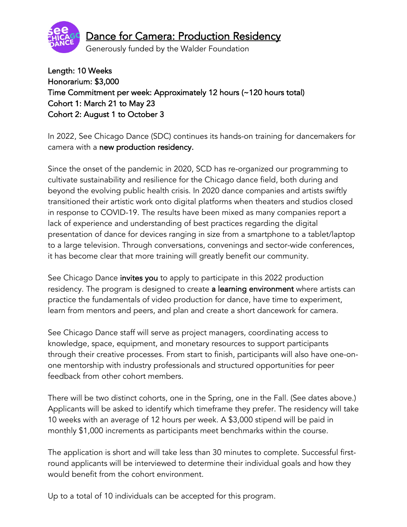

# Dance for Camera: Production Residency

Generously funded by the Walder Foundation

Length: 10 Weeks Honorarium: \$3,000 Time Commitment per week: Approximately 12 hours (~120 hours total) Cohort 1: March 21 to May 23 Cohort 2: August 1 to October 3

In 2022, See Chicago Dance (SDC) continues its hands-on training for dancemakers for camera with a new production residency.

Since the onset of the pandemic in 2020, SCD has re-organized our programming to cultivate sustainability and resilience for the Chicago dance field, both during and beyond the evolving public health crisis. In 2020 dance companies and artists swiftly transitioned their artistic work onto digital platforms when theaters and studios closed in response to COVID-19. The results have been mixed as many companies report a lack of experience and understanding of best practices regarding the digital presentation of dance for devices ranging in size from a smartphone to a tablet/laptop to a large television. Through conversations, convenings and sector-wide conferences, it has become clear that more training will greatly benefit our community.

See Chicago Dance invites you to apply to participate in this 2022 production residency. The program is designed to create a learning environment where artists can practice the fundamentals of video production for dance, have time to experiment, learn from mentors and peers, and plan and create a short dancework for camera.

See Chicago Dance staff will serve as project managers, coordinating access to knowledge, space, equipment, and monetary resources to support participants through their creative processes. From start to finish, participants will also have one-onone mentorship with industry professionals and structured opportunities for peer feedback from other cohort members.

There will be two distinct cohorts, one in the Spring, one in the Fall. (See dates above.) Applicants will be asked to identify which timeframe they prefer. The residency will take 10 weeks with an average of 12 hours per week. A \$3,000 stipend will be paid in monthly \$1,000 increments as participants meet benchmarks within the course.

The application is short and will take less than 30 minutes to complete. Successful firstround applicants will be interviewed to determine their individual goals and how they would benefit from the cohort environment.

Up to a total of 10 individuals can be accepted for this program.